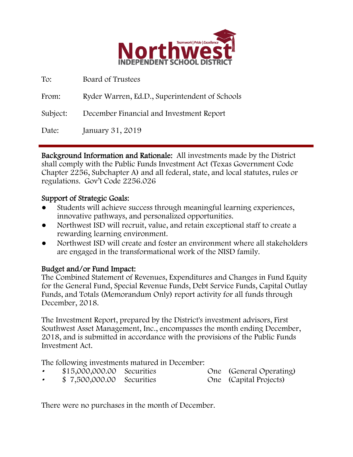

| To:      | Board of Trustees                              |
|----------|------------------------------------------------|
| From:    | Ryder Warren, Ed.D., Superintendent of Schools |
| Subject: | December Financial and Investment Report       |
| Date:    | January 31, 2019                               |

Background Information and Rationale: All investments made by the District shall comply with the Public Funds Investment Act (Texas Government Code Chapter 2256, Subchapter A) and all federal, state, and local statutes, rules or regulations. Gov't Code 2256.026

## Support of Strategic Goals:

- Students will achieve success through meaningful learning experiences, innovative pathways, and personalized opportunities.
- Northwest ISD will recruit, value, and retain exceptional staff to create a rewarding learning environment.
- Northwest ISD will create and foster an environment where all stakeholders are engaged in the transformational work of the NISD family.

# Budget and/or Fund Impact:

The Combined Statement of Revenues, Expenditures and Changes in Fund Equity for the General Fund, Special Revenue Funds, Debt Service Funds, Capital Outlay Funds, and Totals (Memorandum Only) report activity for all funds through December, 2018.

The Investment Report, prepared by the District's investment advisors, First Southwest Asset Management, Inc., encompasses the month ending December, 2018, and is submitted in accordance with the provisions of the Public Funds Investment Act.

The following investments matured in December:

- \$15,000,000.00 Securities One (General Operating)
	- \$ 7,500,000.00 Securities One (Capital Projects)

There were no purchases in the month of December.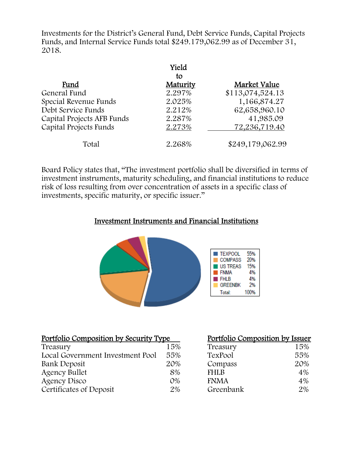Investments for the District's General Fund, Debt Service Funds, Capital Projects Funds, and Internal Service Funds total \$249.179,062.99 as of December 31, 2018.

|                            | Yield    |                  |
|----------------------------|----------|------------------|
|                            | to       |                  |
| Fund                       | Maturity | Market Value     |
| General Fund               | 2.297%   | \$113,074,524.13 |
| Special Revenue Funds      | 2.025%   | 1,166,874.27     |
| Debt Service Funds         | 2.212%   | 62,658,960.10    |
| Capital Projects AFB Funds | 2.287%   | 41,985.09        |
| Capital Projects Funds     | 2.273%   | 72,236,719.40    |
| Total                      | 2.268%   | \$249,179,062.99 |

Board Policy states that, "The investment portfolio shall be diversified in terms of investment instruments, maturity scheduling, and financial institutions to reduce risk of loss resulting from over concentration of assets in a specific class of investments, specific maturity, or specific issuer."

## Investment Instruments and Financial Institutions



| Portfolio Composition by Security Type |       | Portfolio Composition by Issuer |     |
|----------------------------------------|-------|---------------------------------|-----|
| Treasury                               | 15%   | Treasury                        | 15% |
| Local Government Investment Pool       | 55%   | TexPool                         | 55% |
| Bank Deposit                           | 20%   | Compass                         | 20% |
| <b>Agency Bullet</b>                   | 8%    | <b>FHLB</b>                     | 4%  |
| Agency Disco                           | $O\%$ | <b>FNMA</b>                     | 4%  |
| Certificates of Deposit                | 2%    | Greenbank                       | 2%  |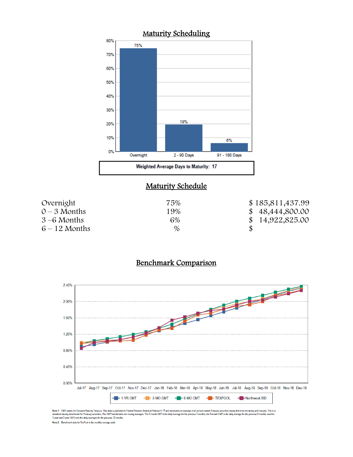

# **Maturity Schedule**

| Overnight       | 75%  | \$185,811,437.99 |
|-----------------|------|------------------|
| $0 - 3$ Months  | 19%  | \$48,444,800.00  |
| $3-6$ Months    | 6%   | \$14,922,825.00  |
| $6 - 12$ Months | $\%$ |                  |

## Benchmark Comparison



Note 1: CMT stands for Constant Maturity Treasury. This data is published in Federal Resente Statistical Release H.15 and represents an average of all actively traded Treasury securities having that time remaining until ma Note 2: Benchmark data for TexPool is the monthly average yield.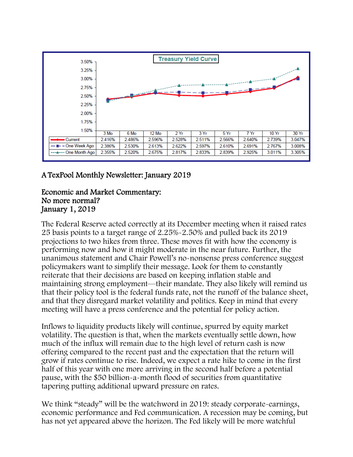

# A TexPool Monthly Newsletter: January 2019

#### Economic and Market Commentary: No more normal? January 1, 2019

The Federal Reserve acted correctly at its December meeting when it raised rates 25 basis points to a target range of 2.25%-2.50% and pulled back its 2019 projections to two hikes from three. These moves fit with how the economy is performing now and how it might moderate in the near future. Further, the unanimous statement and Chair Powell's no-nonsense press conference suggest policymakers want to simplify their message. Look for them to constantly reiterate that their decisions are based on keeping inflation stable and maintaining strong employment—their mandate. They also likely will remind us that their policy tool is the federal funds rate, not the runoff of the balance sheet, and that they disregard market volatility and politics. Keep in mind that every meeting will have a press conference and the potential for policy action.

Inflows to liquidity products likely will continue, spurred by equity market volatility. The question is that, when the markets eventually settle down, how much of the influx will remain due to the high level of return cash is now offering compared to the recent past and the expectation that the return will grow if rates continue to rise. Indeed, we expect a rate hike to come in the first half of this year with one more arriving in the second half before a potential pause, with the \$50 billion-a-month flood of securities from quantitative tapering putting additional upward pressure on rates.

We think "steady" will be the watchword in 2019: steady corporate-earnings, economic performance and Fed communication. A recession may be coming, but has not yet appeared above the horizon. The Fed likely will be more watchful